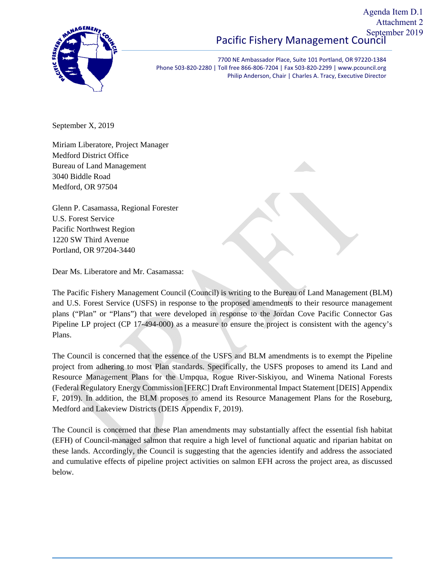#### Pacific Fishery Management Council Agenda Item D.1 Attachment 2 September 2019



7700 NE Ambassador Place, Suite 101 Portland, OR 97220‐1384 Phone 503‐820‐2280 | Toll free 866‐806‐7204 | Fax 503‐820‐2299 | www.pcouncil.org Philip Anderson, Chair | Charles A. Tracy, Executive Director

September X, 2019

Miriam Liberatore, Project Manager Medford District Office Bureau of Land Management 3040 Biddle Road Medford, OR 97504

Glenn P. Casamassa, Regional Forester U.S. Forest Service Pacific Northwest Region 1220 SW Third Avenue Portland, OR 97204-3440

Dear Ms. Liberatore and Mr. Casamassa:

The Pacific Fishery Management Council (Council) is writing to the Bureau of Land Management (BLM) and U.S. Forest Service (USFS) in response to the proposed amendments to their resource management plans ("Plan" or "Plans") that were developed in response to the Jordan Cove Pacific Connector Gas Pipeline LP project (CP 17-494-000) as a measure to ensure the project is consistent with the agency's Plans.

The Council is concerned that the essence of the USFS and BLM amendments is to exempt the Pipeline project from adhering to most Plan standards. Specifically, the USFS proposes to amend its Land and Resource Management Plans for the Umpqua, Rogue River-Siskiyou, and Winema National Forests (Federal Regulatory Energy Commission [FERC] Draft Environmental Impact Statement [DEIS] Appendix F, 2019). In addition, the BLM proposes to amend its Resource Management Plans for the Roseburg, Medford and Lakeview Districts (DEIS Appendix F, 2019).

The Council is concerned that these Plan amendments may substantially affect the essential fish habitat (EFH) of Council-managed salmon that require a high level of functional aquatic and riparian habitat on these lands. Accordingly, the Council is suggesting that the agencies identify and address the associated and cumulative effects of pipeline project activities on salmon EFH across the project area, as discussed below.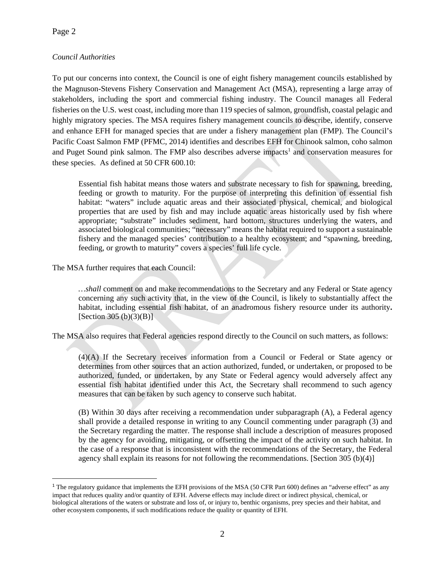$\overline{a}$ 

## *Council Authorities*

To put our concerns into context, the Council is one of eight fishery management councils established by the Magnuson-Stevens Fishery Conservation and Management Act (MSA), representing a large array of stakeholders, including the sport and commercial fishing industry. The Council manages all Federal fisheries on the U.S. west coast, including more than 119 species of salmon, groundfish, coastal pelagic and highly migratory species. The MSA requires fishery management councils to describe, identify, conserve and enhance EFH for managed species that are under a fishery management plan (FMP). The Council's Pacific Coast Salmon FMP (PFMC, 2014) identifies and describes EFH for Chinook salmon, coho salmon and Puget Sound pink salmon. The FMP also describes adverse impacts<sup>1</sup> and conservation measures for these species. As defined at 50 CFR 600.10:

Essential fish habitat means those waters and substrate necessary to fish for spawning, breeding, feeding or growth to maturity. For the purpose of interpreting this definition of essential fish habitat: "waters" include aquatic areas and their associated physical, chemical, and biological properties that are used by fish and may include aquatic areas historically used by fish where appropriate; "substrate" includes sediment, hard bottom, structures underlying the waters, and associated biological communities; "necessary" means the habitat required to support a sustainable fishery and the managed species' contribution to a healthy ecosystem; and "spawning, breeding, feeding, or growth to maturity" covers a species' full life cycle.

The MSA further requires that each Council:

*…shall* comment on and make recommendations to the Secretary and any Federal or State agency concerning any such activity that, in the view of the Council, is likely to substantially affect the habitat, including essential fish habitat, of an anadromous fishery resource under its authority**.** [Section 305 (b)(3)(B)].

The MSA also requires that Federal agencies respond directly to the Council on such matters, as follows:

(4)(A) If the Secretary receives information from a Council or Federal or State agency or determines from other sources that an action authorized, funded, or undertaken, or proposed to be authorized, funded, or undertaken, by any State or Federal agency would adversely affect any essential fish habitat identified under this Act, the Secretary shall recommend to such agency measures that can be taken by such agency to conserve such habitat.

(B) Within 30 days after receiving a recommendation under subparagraph (A), a Federal agency shall provide a detailed response in writing to any Council commenting under paragraph (3) and the Secretary regarding the matter. The response shall include a description of measures proposed by the agency for avoiding, mitigating, or offsetting the impact of the activity on such habitat. In the case of a response that is inconsistent with the recommendations of the Secretary, the Federal agency shall explain its reasons for not following the recommendations. [Section 305 (b)(4)]

<sup>&</sup>lt;sup>1</sup> The regulatory guidance that implements the EFH provisions of the MSA (50 CFR Part 600) defines an "adverse effect" as any impact that reduces quality and/or quantity of EFH. Adverse effects may include direct or indirect physical, chemical, or biological alterations of the waters or substrate and loss of, or injury to, benthic organisms, prey species and their habitat, and other ecosystem components, if such modifications reduce the quality or quantity of EFH.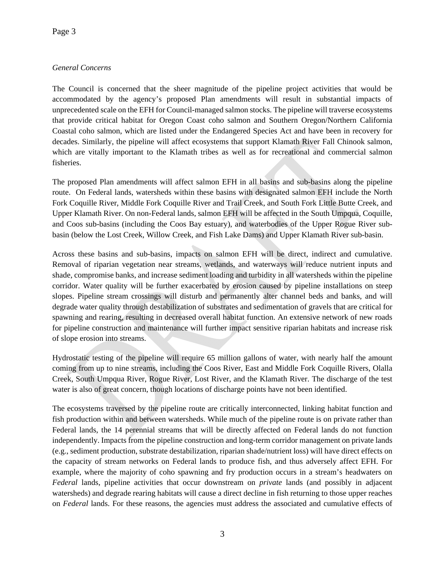## *General Concerns*

The Council is concerned that the sheer magnitude of the pipeline project activities that would be accommodated by the agency's proposed Plan amendments will result in substantial impacts of unprecedented scale on the EFH for Council-managed salmon stocks. The pipeline will traverse ecosystems that provide critical habitat for Oregon Coast coho salmon and Southern Oregon/Northern California Coastal coho salmon, which are listed under the Endangered Species Act and have been in recovery for decades. Similarly, the pipeline will affect ecosystems that support Klamath River Fall Chinook salmon, which are vitally important to the Klamath tribes as well as for recreational and commercial salmon fisheries.

The proposed Plan amendments will affect salmon EFH in all basins and sub-basins along the pipeline route. On Federal lands, watersheds within these basins with designated salmon EFH include the North Fork Coquille River, Middle Fork Coquille River and Trail Creek, and South Fork Little Butte Creek, and Upper Klamath River. On non-Federal lands, salmon EFH will be affected in the South Umpqua, Coquille, and Coos sub-basins (including the Coos Bay estuary), and waterbodies of the Upper Rogue River subbasin (below the Lost Creek, Willow Creek, and Fish Lake Dams) and Upper Klamath River sub-basin.

Across these basins and sub-basins, impacts on salmon EFH will be direct, indirect and cumulative. Removal of riparian vegetation near streams, wetlands, and waterways will reduce nutrient inputs and shade, compromise banks, and increase sediment loading and turbidity in all watersheds within the pipeline corridor. Water quality will be further exacerbated by erosion caused by pipeline installations on steep slopes. Pipeline stream crossings will disturb and permanently alter channel beds and banks, and will degrade water quality through destabilization of substrates and sedimentation of gravels that are critical for spawning and rearing, resulting in decreased overall habitat function. An extensive network of new roads for pipeline construction and maintenance will further impact sensitive riparian habitats and increase risk of slope erosion into streams.

Hydrostatic testing of the pipeline will require 65 million gallons of water, with nearly half the amount coming from up to nine streams, including the Coos River, East and Middle Fork Coquille Rivers, Olalla Creek, South Umpqua River, Rogue River, Lost River, and the Klamath River. The discharge of the test water is also of great concern, though locations of discharge points have not been identified.

The ecosystems traversed by the pipeline route are critically interconnected, linking habitat function and fish production within and between watersheds. While much of the pipeline route is on private rather than Federal lands, the 14 perennial streams that will be directly affected on Federal lands do not function independently. Impacts from the pipeline construction and long-term corridor management on private lands (e.g., sediment production, substrate destabilization, riparian shade/nutrient loss) will have direct effects on the capacity of stream networks on Federal lands to produce fish, and thus adversely affect EFH. For example, where the majority of coho spawning and fry production occurs in a stream's headwaters on *Federal* lands, pipeline activities that occur downstream on *private* lands (and possibly in adjacent watersheds) and degrade rearing habitats will cause a direct decline in fish returning to those upper reaches on *Federal* lands. For these reasons, the agencies must address the associated and cumulative effects of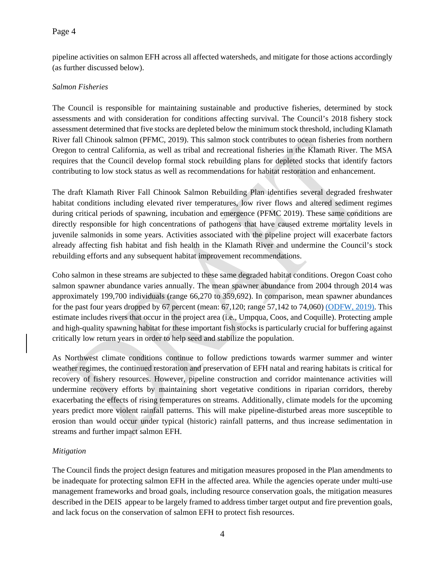### Page 4

pipeline activities on salmon EFH across all affected watersheds, and mitigate for those actions accordingly (as further discussed below).

#### *Salmon Fisheries*

The Council is responsible for maintaining sustainable and productive fisheries, determined by stock assessments and with consideration for conditions affecting survival. The Council's 2018 fishery stock assessment determined that five stocks are depleted below the minimum stock threshold, including Klamath River fall Chinook salmon (PFMC, 2019). This salmon stock contributes to ocean fisheries from northern Oregon to central California, as well as tribal and recreational fisheries in the Klamath River. The MSA requires that the Council develop formal stock rebuilding plans for depleted stocks that identify factors contributing to low stock status as well as recommendations for habitat restoration and enhancement.

The draft Klamath River Fall Chinook Salmon Rebuilding Plan identifies several degraded freshwater habitat conditions including elevated river temperatures, low river flows and altered sediment regimes during critical periods of spawning, incubation and emergence (PFMC 2019). These same conditions are directly responsible for high concentrations of pathogens that have caused extreme mortality levels in juvenile salmonids in some years. Activities associated with the pipeline project will exacerbate factors already affecting fish habitat and fish health in the Klamath River and undermine the Council's stock rebuilding efforts and any subsequent habitat improvement recommendations.

Coho salmon in these streams are subjected to these same degraded habitat conditions. Oregon Coast coho salmon spawner abundance varies annually. The mean spawner abundance from 2004 through 2014 was approximately 199,700 individuals (range 66,270 to 359,692). In comparison, mean spawner abundances for the past four years dropped by 67 percent (mean: 67,120; range 57,142 to 74,060) (ODFW, 2019). This estimate includes rivers that occur in the project area (i.e., Umpqua, Coos, and Coquille). Protecting ample and high-quality spawning habitat for these important fish stocks is particularly crucial for buffering against critically low return years in order to help seed and stabilize the population.

As Northwest climate conditions continue to follow predictions towards warmer summer and winter weather regimes, the continued restoration and preservation of EFH natal and rearing habitats is critical for recovery of fishery resources. However, pipeline construction and corridor maintenance activities will undermine recovery efforts by maintaining short vegetative conditions in riparian corridors, thereby exacerbating the effects of rising temperatures on streams. Additionally, climate models for the upcoming years predict more violent rainfall patterns. This will make pipeline-disturbed areas more susceptible to erosion than would occur under typical (historic) rainfall patterns, and thus increase sedimentation in streams and further impact salmon EFH.

### *Mitigation*

The Council finds the project design features and mitigation measures proposed in the Plan amendments to be inadequate for protecting salmon EFH in the affected area. While the agencies operate under multi-use management frameworks and broad goals, including resource conservation goals, the mitigation measures described in the DEIS appear to be largely framed to address timber target output and fire prevention goals, and lack focus on the conservation of salmon EFH to protect fish resources.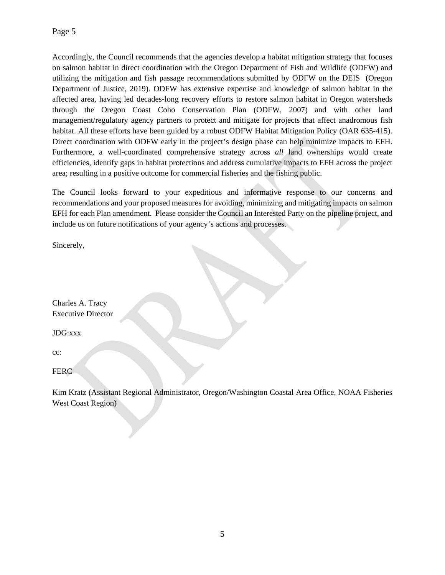Accordingly, the Council recommends that the agencies develop a habitat mitigation strategy that focuses on salmon habitat in direct coordination with the Oregon Department of Fish and Wildlife (ODFW) and utilizing the mitigation and fish passage recommendations submitted by ODFW on the DEIS (Oregon Department of Justice, 2019). ODFW has extensive expertise and knowledge of salmon habitat in the affected area, having led decades-long recovery efforts to restore salmon habitat in Oregon watersheds through the Oregon Coast Coho Conservation Plan (ODFW, 2007) and with other land management/regulatory agency partners to protect and mitigate for projects that affect anadromous fish habitat. All these efforts have been guided by a robust ODFW Habitat Mitigation Policy (OAR 635-415). Direct coordination with ODFW early in the project's design phase can help minimize impacts to EFH. Furthermore, a well-coordinated comprehensive strategy across *all* land ownerships would create efficiencies, identify gaps in habitat protections and address cumulative impacts to EFH across the project area; resulting in a positive outcome for commercial fisheries and the fishing public.

The Council looks forward to your expeditious and informative response to our concerns and recommendations and your proposed measures for avoiding, minimizing and mitigating impacts on salmon EFH for each Plan amendment. Please consider the Council an Interested Party on the pipeline project, and include us on future notifications of your agency's actions and processes.

Sincerely,

Charles A. Tracy Executive Director

JDG:xxx

cc:

**FERC** 

Kim Kratz (Assistant Regional Administrator, Oregon/Washington Coastal Area Office, NOAA Fisheries West Coast Region)